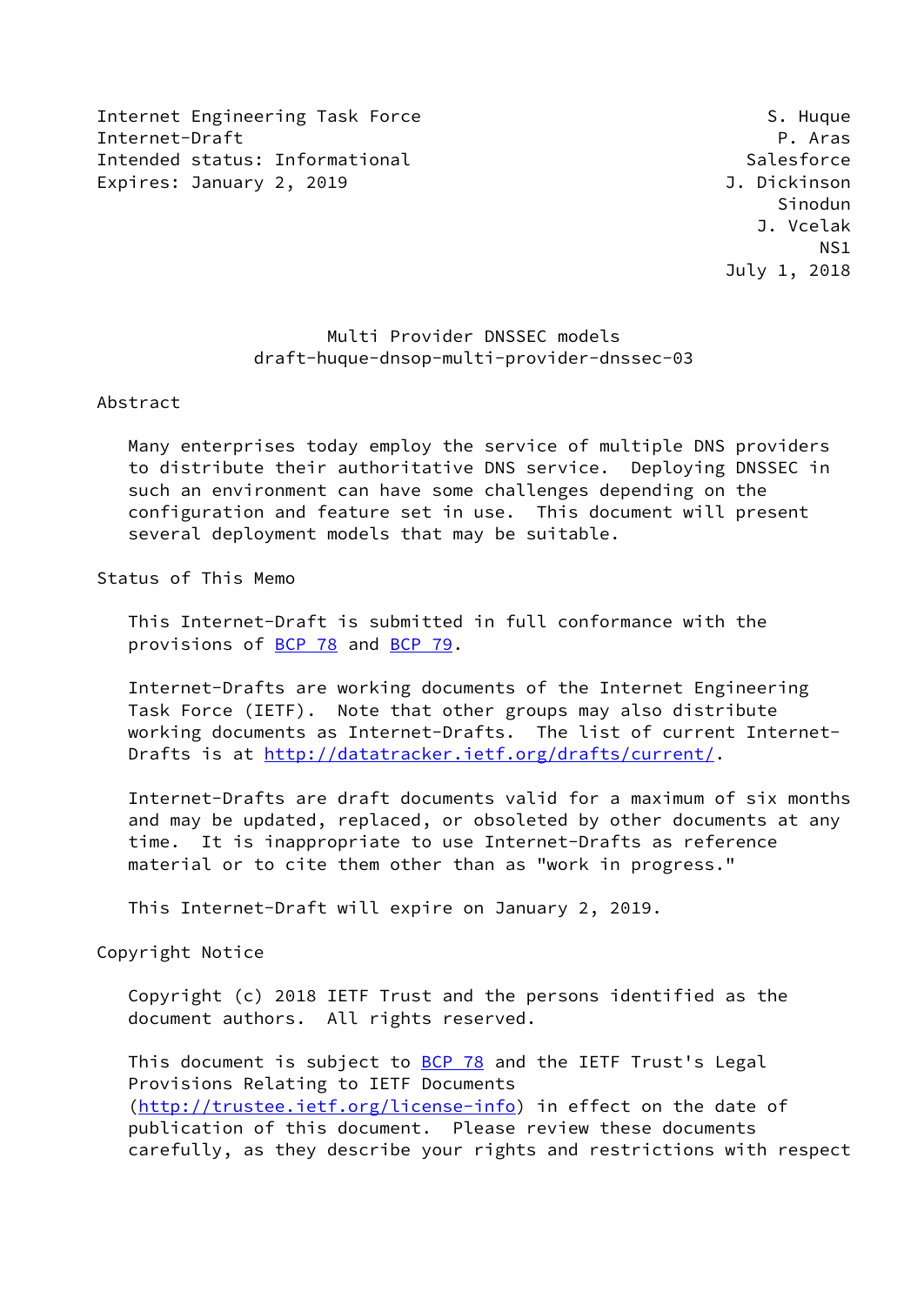Internet Engineering Task Force S. Huque S. Huque Internet-Draft P. Aras Intended status: Informational Salesforce Expires: January 2, 2019 **J. Dickinson** 

 Sinodun J. Vcelak NS1 July 1, 2018

# Multi Provider DNSSEC models draft-huque-dnsop-multi-provider-dnssec-03

## Abstract

 Many enterprises today employ the service of multiple DNS providers to distribute their authoritative DNS service. Deploying DNSSEC in such an environment can have some challenges depending on the configuration and feature set in use. This document will present several deployment models that may be suitable.

## Status of This Memo

 This Internet-Draft is submitted in full conformance with the provisions of [BCP 78](https://datatracker.ietf.org/doc/pdf/bcp78) and [BCP 79](https://datatracker.ietf.org/doc/pdf/bcp79).

 Internet-Drafts are working documents of the Internet Engineering Task Force (IETF). Note that other groups may also distribute working documents as Internet-Drafts. The list of current Internet- Drafts is at<http://datatracker.ietf.org/drafts/current/>.

 Internet-Drafts are draft documents valid for a maximum of six months and may be updated, replaced, or obsoleted by other documents at any time. It is inappropriate to use Internet-Drafts as reference material or to cite them other than as "work in progress."

This Internet-Draft will expire on January 2, 2019.

Copyright Notice

 Copyright (c) 2018 IETF Trust and the persons identified as the document authors. All rights reserved.

This document is subject to **[BCP 78](https://datatracker.ietf.org/doc/pdf/bcp78)** and the IETF Trust's Legal Provisions Relating to IETF Documents [\(http://trustee.ietf.org/license-info](http://trustee.ietf.org/license-info)) in effect on the date of publication of this document. Please review these documents carefully, as they describe your rights and restrictions with respect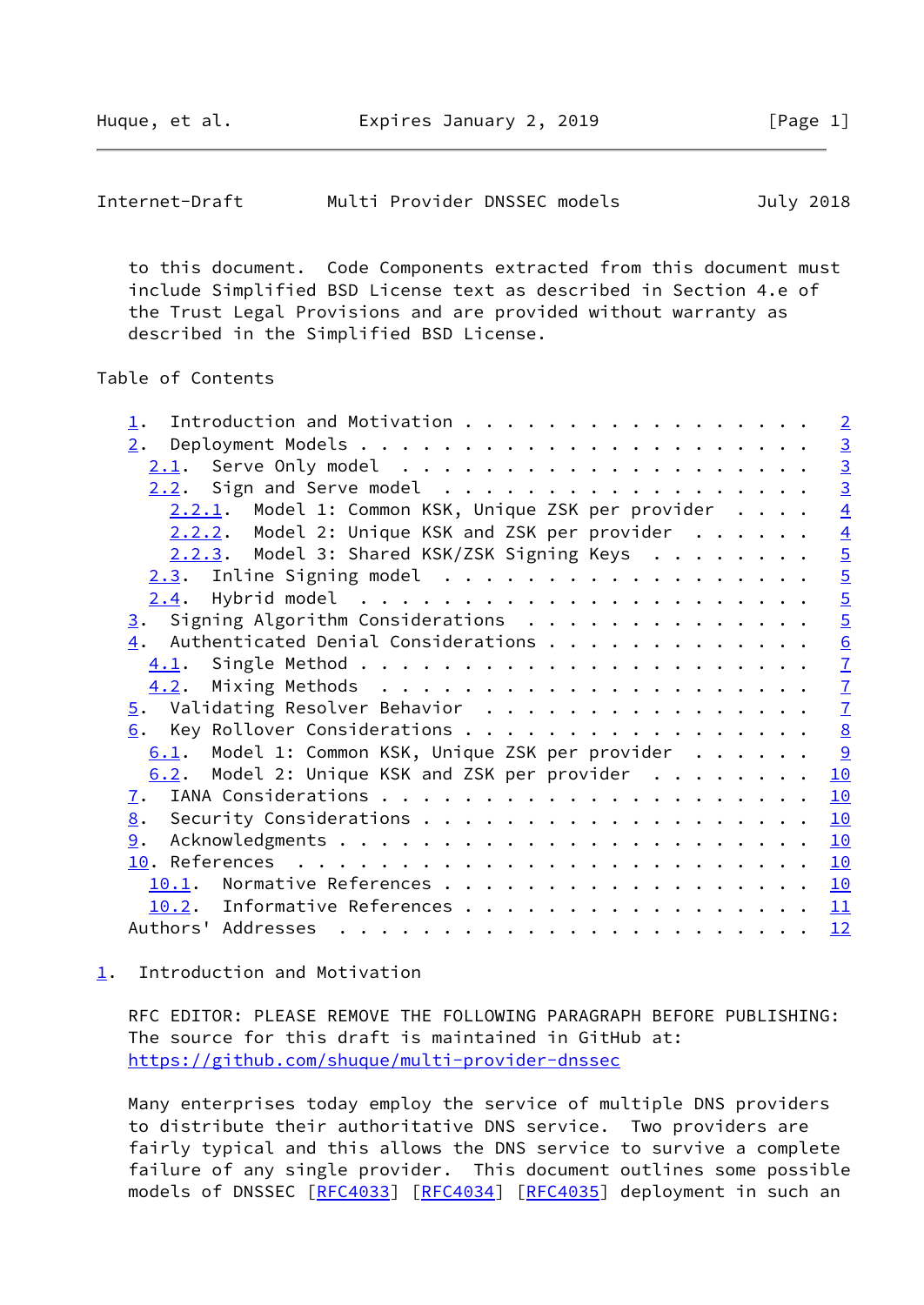<span id="page-1-1"></span>

| Internet-Draft | Multi Provider DNSSEC models |  | July 2018 |
|----------------|------------------------------|--|-----------|
|----------------|------------------------------|--|-----------|

 to this document. Code Components extracted from this document must include Simplified BSD License text as described in Section 4.e of the Trust Legal Provisions and are provided without warranty as described in the Simplified BSD License.

# Table of Contents

| Introduction and Motivation                                | $\sqrt{2}$      |
|------------------------------------------------------------|-----------------|
| 2.                                                         |                 |
|                                                            | $\frac{3}{3}$   |
|                                                            | $\overline{3}$  |
| 2.2.1. Model 1: Common KSK, Unique ZSK per provider        | $\overline{4}$  |
| $2.2.2.$ Model 2: Unique KSK and ZSK per provider $\ldots$ | $\overline{4}$  |
| 2.2.3. Model 3: Shared KSK/ZSK Signing Keys                | $\overline{5}$  |
| 2.3. Inline Signing model                                  | $\overline{5}$  |
|                                                            | $\overline{5}$  |
| $\underline{3}$ . Signing Algorithm Considerations         | $\overline{5}$  |
| Authenticated Denial Considerations<br>4.                  | $\frac{6}{7}$   |
|                                                            |                 |
| 4.2.                                                       | $\frac{7}{7}$   |
|                                                            |                 |
| Key Rollover Considerations<br>6.                          | $\underline{8}$ |
| 6.1. Model 1: Common KSK, Unique ZSK per provider          | 9               |
| $6.2$ . Model 2: Unique KSK and ZSK per provider           | 10              |
| $\mathbf{I}$ .                                             | 10              |
|                                                            | 10              |
| 9.                                                         | 10              |
|                                                            | 10              |
| 10.1.                                                      | <u> 10</u>      |
| 10.2. Informative References                               | 11              |
|                                                            | 12              |
|                                                            |                 |

## <span id="page-1-0"></span>[1](#page-1-0). Introduction and Motivation

 RFC EDITOR: PLEASE REMOVE THE FOLLOWING PARAGRAPH BEFORE PUBLISHING: The source for this draft is maintained in GitHub at: <https://github.com/shuque/multi-provider-dnssec>

 Many enterprises today employ the service of multiple DNS providers to distribute their authoritative DNS service. Two providers are fairly typical and this allows the DNS service to survive a complete failure of any single provider. This document outlines some possible models of DNSSEC [\[RFC4033](https://datatracker.ietf.org/doc/pdf/rfc4033)] [[RFC4034\]](https://datatracker.ietf.org/doc/pdf/rfc4034) [\[RFC4035](https://datatracker.ietf.org/doc/pdf/rfc4035)] deployment in such an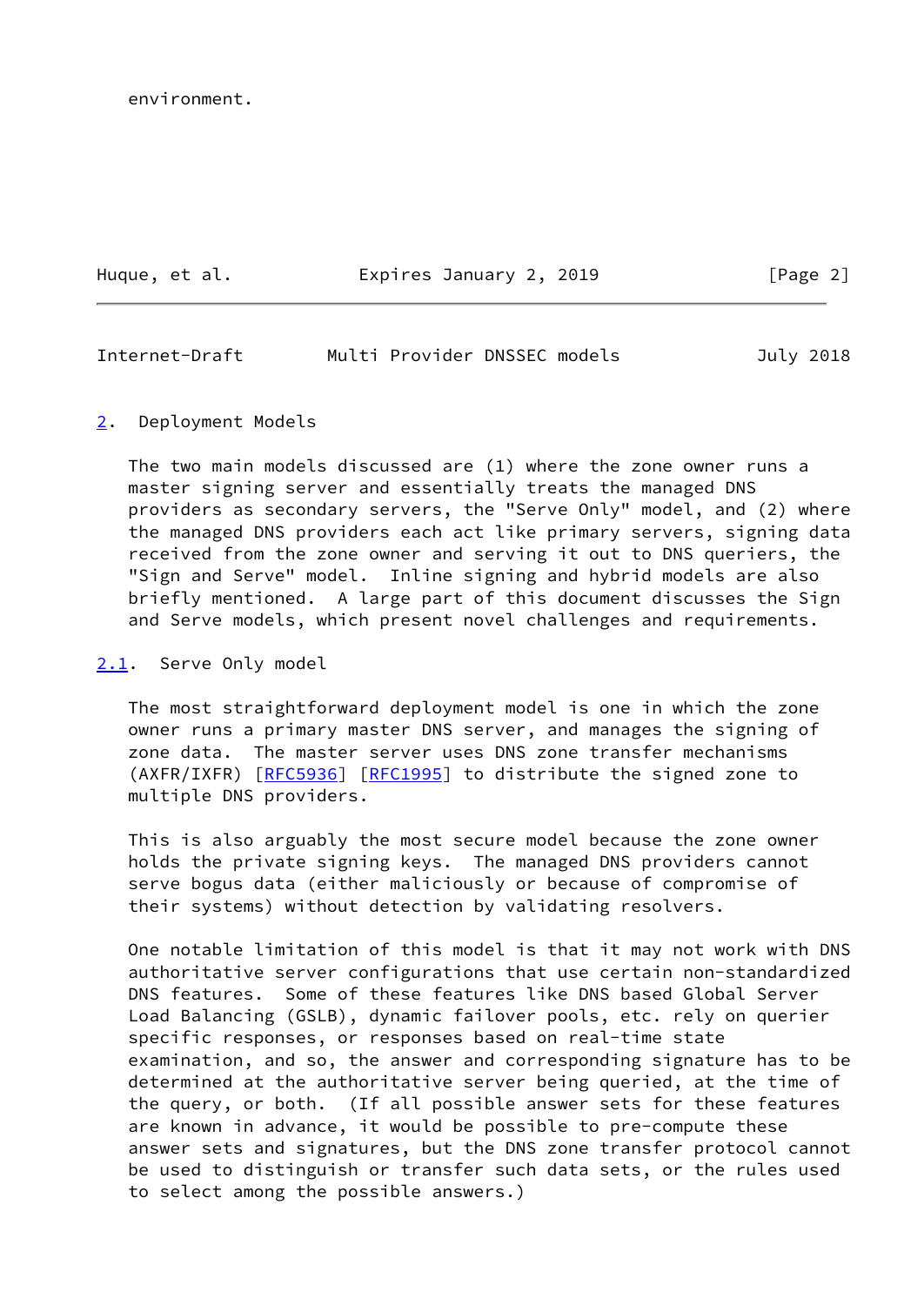environment.

Huque, et al. **Expires January 2, 2019** [Page 2]

<span id="page-2-1"></span>Internet-Draft Multi Provider DNSSEC models July 2018

## <span id="page-2-0"></span>[2](#page-2-0). Deployment Models

 The two main models discussed are (1) where the zone owner runs a master signing server and essentially treats the managed DNS providers as secondary servers, the "Serve Only" model, and (2) where the managed DNS providers each act like primary servers, signing data received from the zone owner and serving it out to DNS queriers, the "Sign and Serve" model. Inline signing and hybrid models are also briefly mentioned. A large part of this document discusses the Sign and Serve models, which present novel challenges and requirements.

### <span id="page-2-2"></span>[2.1](#page-2-2). Serve Only model

 The most straightforward deployment model is one in which the zone owner runs a primary master DNS server, and manages the signing of zone data. The master server uses DNS zone transfer mechanisms (AXFR/IXFR) [\[RFC5936](https://datatracker.ietf.org/doc/pdf/rfc5936)] [[RFC1995](https://datatracker.ietf.org/doc/pdf/rfc1995)] to distribute the signed zone to multiple DNS providers.

 This is also arguably the most secure model because the zone owner holds the private signing keys. The managed DNS providers cannot serve bogus data (either maliciously or because of compromise of their systems) without detection by validating resolvers.

 One notable limitation of this model is that it may not work with DNS authoritative server configurations that use certain non-standardized DNS features. Some of these features like DNS based Global Server Load Balancing (GSLB), dynamic failover pools, etc. rely on querier specific responses, or responses based on real-time state examination, and so, the answer and corresponding signature has to be determined at the authoritative server being queried, at the time of the query, or both. (If all possible answer sets for these features are known in advance, it would be possible to pre-compute these answer sets and signatures, but the DNS zone transfer protocol cannot be used to distinguish or transfer such data sets, or the rules used to select among the possible answers.)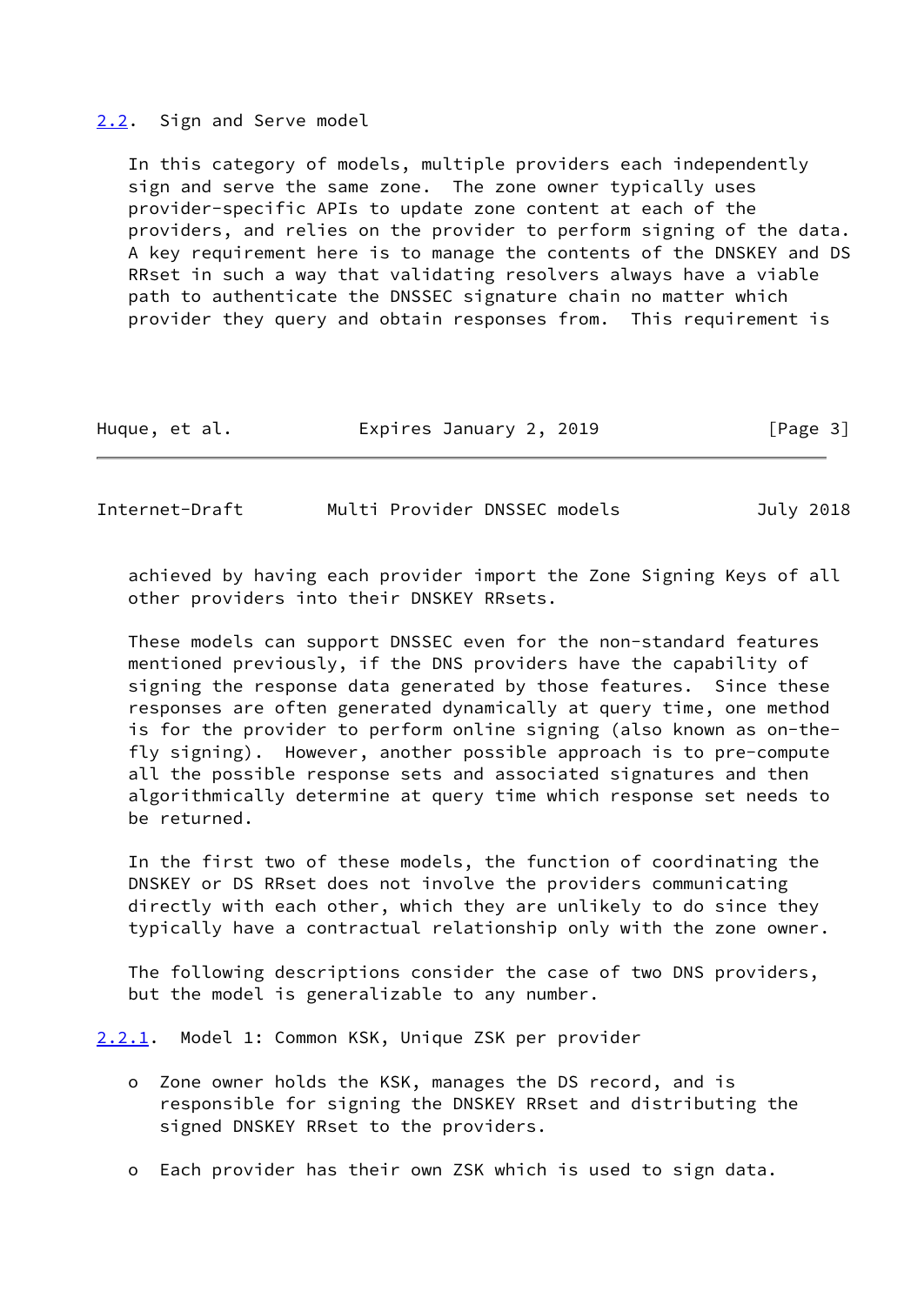#### <span id="page-3-0"></span>[2.2](#page-3-0). Sign and Serve model

 In this category of models, multiple providers each independently sign and serve the same zone. The zone owner typically uses provider-specific APIs to update zone content at each of the providers, and relies on the provider to perform signing of the data. A key requirement here is to manage the contents of the DNSKEY and DS RRset in such a way that validating resolvers always have a viable path to authenticate the DNSSEC signature chain no matter which provider they query and obtain responses from. This requirement is

|  | Huque, et al. | Expires January 2, 2019 | [Page 3] |
|--|---------------|-------------------------|----------|
|--|---------------|-------------------------|----------|

<span id="page-3-2"></span>

| Multi Provider DNSSEC models<br>Internet-Draft |  | July 2018 |
|------------------------------------------------|--|-----------|
|------------------------------------------------|--|-----------|

 achieved by having each provider import the Zone Signing Keys of all other providers into their DNSKEY RRsets.

 These models can support DNSSEC even for the non-standard features mentioned previously, if the DNS providers have the capability of signing the response data generated by those features. Since these responses are often generated dynamically at query time, one method is for the provider to perform online signing (also known as on-the fly signing). However, another possible approach is to pre-compute all the possible response sets and associated signatures and then algorithmically determine at query time which response set needs to be returned.

 In the first two of these models, the function of coordinating the DNSKEY or DS RRset does not involve the providers communicating directly with each other, which they are unlikely to do since they typically have a contractual relationship only with the zone owner.

 The following descriptions consider the case of two DNS providers, but the model is generalizable to any number.

<span id="page-3-1"></span>[2.2.1](#page-3-1). Model 1: Common KSK, Unique ZSK per provider

- o Zone owner holds the KSK, manages the DS record, and is responsible for signing the DNSKEY RRset and distributing the signed DNSKEY RRset to the providers.
- o Each provider has their own ZSK which is used to sign data.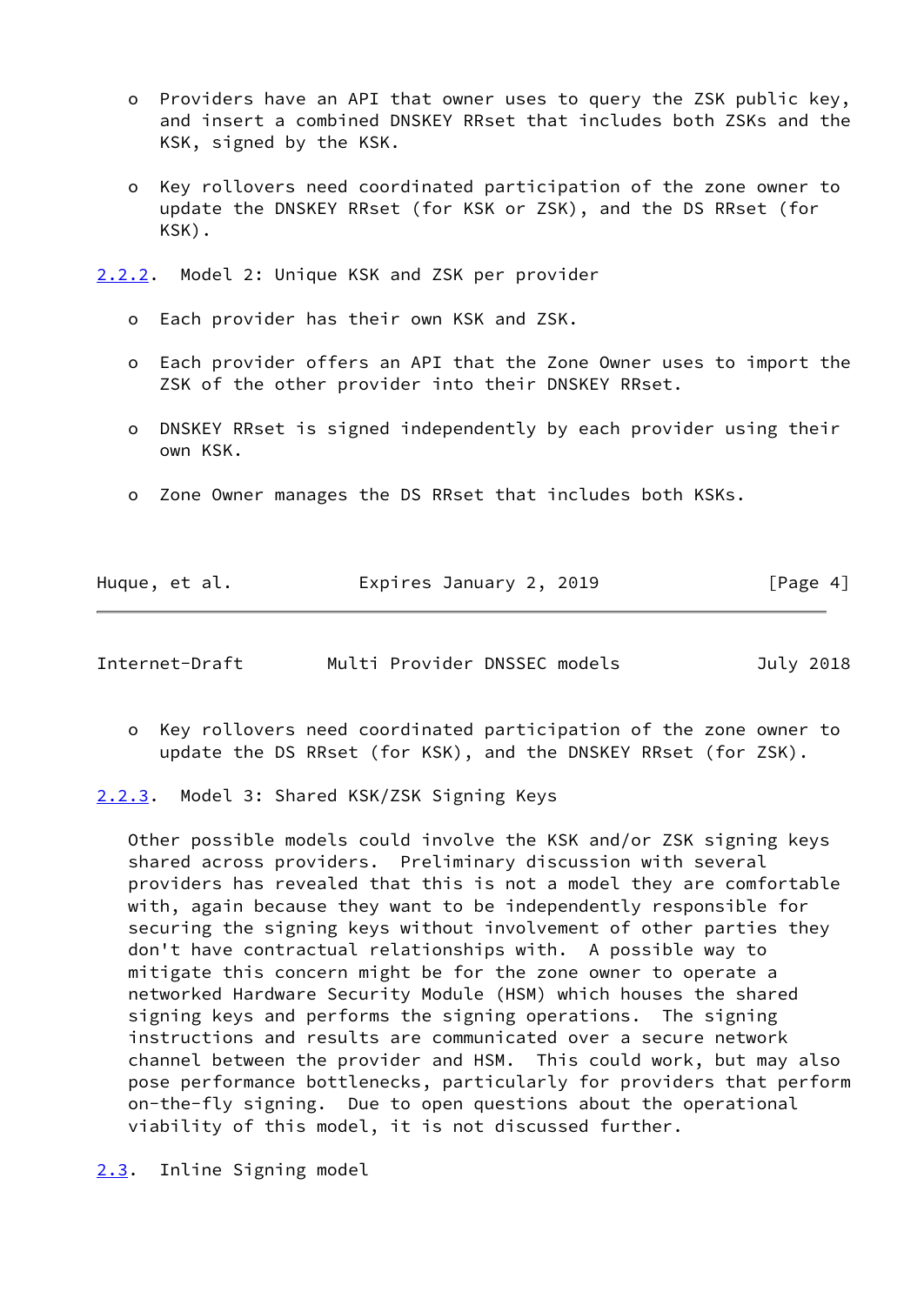- o Providers have an API that owner uses to query the ZSK public key, and insert a combined DNSKEY RRset that includes both ZSKs and the KSK, signed by the KSK.
- o Key rollovers need coordinated participation of the zone owner to update the DNSKEY RRset (for KSK or ZSK), and the DS RRset (for KSK).
- <span id="page-4-0"></span>[2.2.2](#page-4-0). Model 2: Unique KSK and ZSK per provider
	- o Each provider has their own KSK and ZSK.
	- o Each provider offers an API that the Zone Owner uses to import the ZSK of the other provider into their DNSKEY RRset.
	- o DNSKEY RRset is signed independently by each provider using their own KSK.
	- o Zone Owner manages the DS RRset that includes both KSKs.

|  | Huque, et al. | Expires January 2, 2019 | [Page 4] |
|--|---------------|-------------------------|----------|
|--|---------------|-------------------------|----------|

<span id="page-4-2"></span>

| Internet-Draft | Multi Provider DNSSEC models | July 2018 |
|----------------|------------------------------|-----------|
|----------------|------------------------------|-----------|

 o Key rollovers need coordinated participation of the zone owner to update the DS RRset (for KSK), and the DNSKEY RRset (for ZSK).

<span id="page-4-1"></span>[2.2.3](#page-4-1). Model 3: Shared KSK/ZSK Signing Keys

 Other possible models could involve the KSK and/or ZSK signing keys shared across providers. Preliminary discussion with several providers has revealed that this is not a model they are comfortable with, again because they want to be independently responsible for securing the signing keys without involvement of other parties they don't have contractual relationships with. A possible way to mitigate this concern might be for the zone owner to operate a networked Hardware Security Module (HSM) which houses the shared signing keys and performs the signing operations. The signing instructions and results are communicated over a secure network channel between the provider and HSM. This could work, but may also pose performance bottlenecks, particularly for providers that perform on-the-fly signing. Due to open questions about the operational viability of this model, it is not discussed further.

<span id="page-4-3"></span>[2.3](#page-4-3). Inline Signing model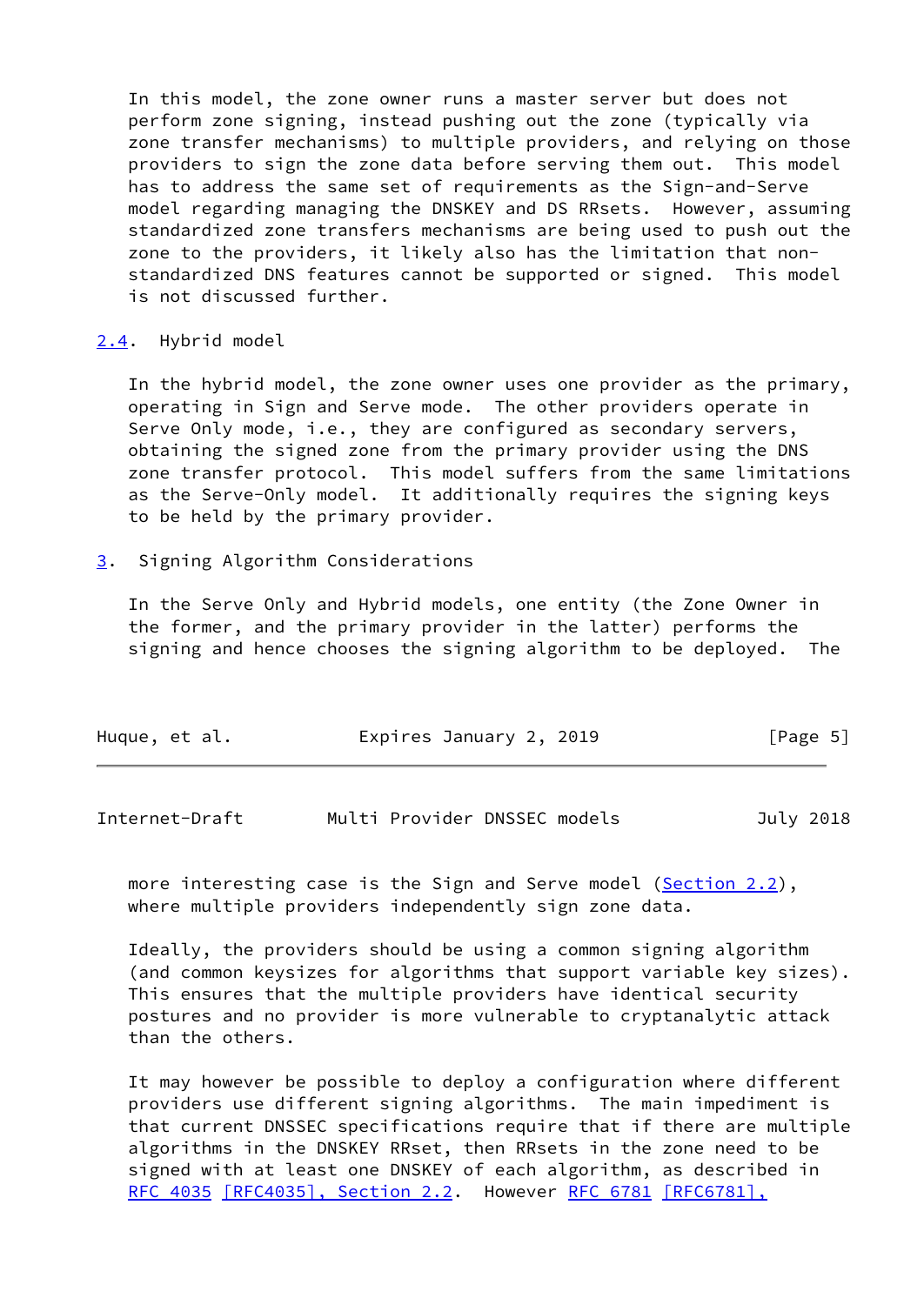In this model, the zone owner runs a master server but does not perform zone signing, instead pushing out the zone (typically via zone transfer mechanisms) to multiple providers, and relying on those providers to sign the zone data before serving them out. This model has to address the same set of requirements as the Sign-and-Serve model regarding managing the DNSKEY and DS RRsets. However, assuming standardized zone transfers mechanisms are being used to push out the zone to the providers, it likely also has the limitation that non standardized DNS features cannot be supported or signed. This model is not discussed further.

<span id="page-5-0"></span>[2.4](#page-5-0). Hybrid model

 In the hybrid model, the zone owner uses one provider as the primary, operating in Sign and Serve mode. The other providers operate in Serve Only mode, i.e., they are configured as secondary servers, obtaining the signed zone from the primary provider using the DNS zone transfer protocol. This model suffers from the same limitations as the Serve-Only model. It additionally requires the signing keys to be held by the primary provider.

<span id="page-5-1"></span>[3](#page-5-1). Signing Algorithm Considerations

 In the Serve Only and Hybrid models, one entity (the Zone Owner in the former, and the primary provider in the latter) performs the signing and hence chooses the signing algorithm to be deployed. The

| Huque, et al. | Expires January 2, 2019 | [Page 5] |
|---------------|-------------------------|----------|
|               |                         |          |

<span id="page-5-2"></span>Internet-Draft Multi Provider DNSSEC models July 2018

more interesting case is the Sign and Serve model ([Section 2.2](#page-3-0)), where multiple providers independently sign zone data.

 Ideally, the providers should be using a common signing algorithm (and common keysizes for algorithms that support variable key sizes). This ensures that the multiple providers have identical security postures and no provider is more vulnerable to cryptanalytic attack than the others.

 It may however be possible to deploy a configuration where different providers use different signing algorithms. The main impediment is that current DNSSEC specifications require that if there are multiple algorithms in the DNSKEY RRset, then RRsets in the zone need to be signed with at least one DNSKEY of each algorithm, as described in [RFC 4035](https://datatracker.ietf.org/doc/pdf/rfc4035) [\[RFC4035\], Section](https://datatracker.ietf.org/doc/pdf/rfc4035#section-2.2) 2.2. However [RFC 6781](https://datatracker.ietf.org/doc/pdf/rfc6781) [\[RFC6781\],](https://datatracker.ietf.org/doc/pdf/rfc6781#section-4.1.4)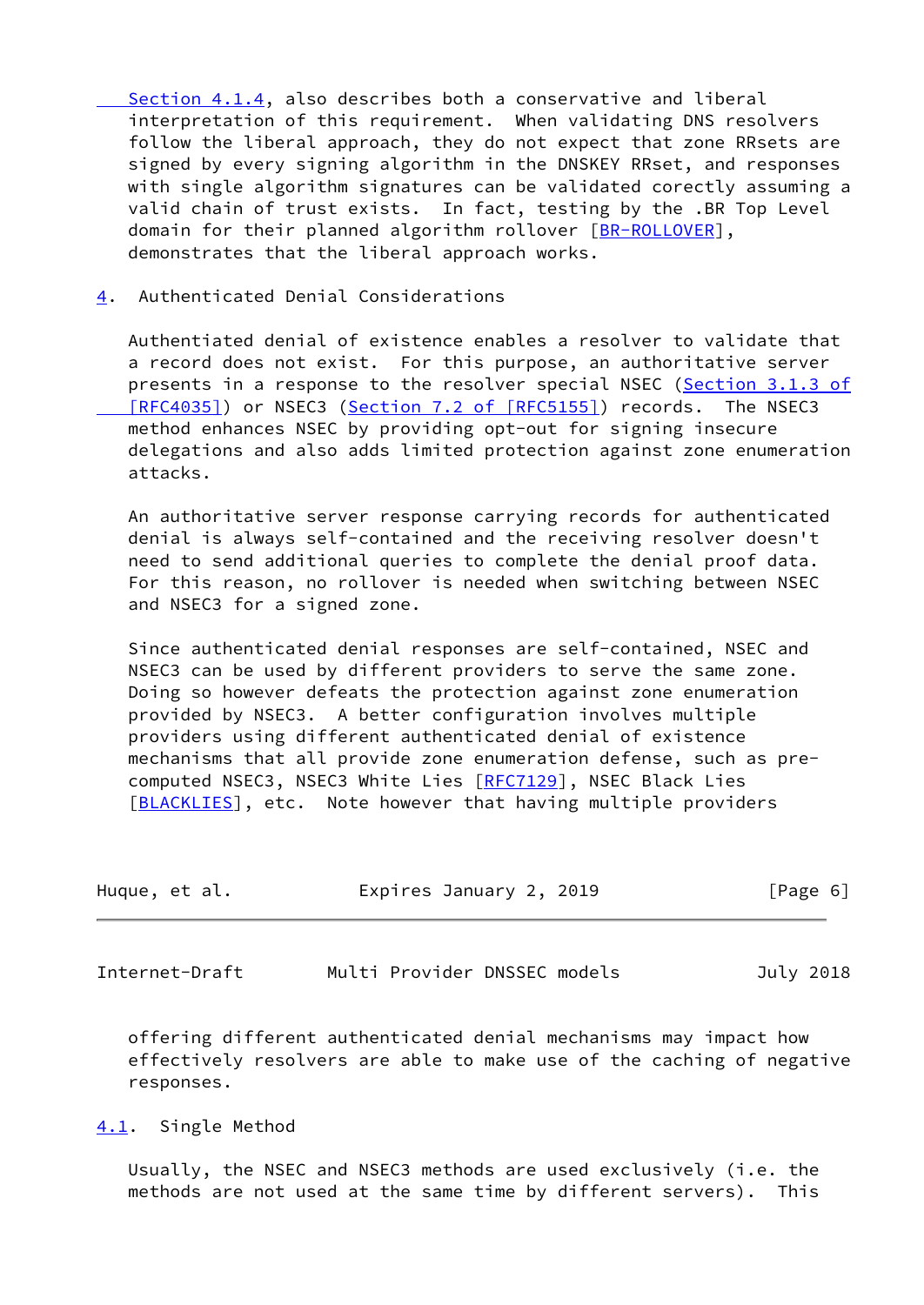[Section](https://datatracker.ietf.org/doc/pdf/rfc6781#section-4.1.4) 4.1.4, also describes both a conservative and liberal interpretation of this requirement. When validating DNS resolvers follow the liberal approach, they do not expect that zone RRsets are signed by every signing algorithm in the DNSKEY RRset, and responses with single algorithm signatures can be validated corectly assuming a valid chain of trust exists. In fact, testing by the .BR Top Level domain for their planned algorithm rollover [\[BR-ROLLOVER](#page-12-2)], demonstrates that the liberal approach works.

<span id="page-6-0"></span>[4](#page-6-0). Authenticated Denial Considerations

 Authentiated denial of existence enables a resolver to validate that a record does not exist. For this purpose, an authoritative server presents in a response to the resolver special NSEC (Section [3.1.3 of](https://datatracker.ietf.org/doc/pdf/rfc4035#section-3.1.3) [RFC4035]) or NSEC3 (Section [7.2 of \[RFC5155\]](https://datatracker.ietf.org/doc/pdf/rfc5155#section-7.2)) records. The NSEC3 method enhances NSEC by providing opt-out for signing insecure delegations and also adds limited protection against zone enumeration attacks.

 An authoritative server response carrying records for authenticated denial is always self-contained and the receiving resolver doesn't need to send additional queries to complete the denial proof data. For this reason, no rollover is needed when switching between NSEC and NSEC3 for a signed zone.

 Since authenticated denial responses are self-contained, NSEC and NSEC3 can be used by different providers to serve the same zone. Doing so however defeats the protection against zone enumeration provided by NSEC3. A better configuration involves multiple providers using different authenticated denial of existence mechanisms that all provide zone enumeration defense, such as pre computed NSEC3, NSEC3 White Lies [\[RFC7129](https://datatracker.ietf.org/doc/pdf/rfc7129)], NSEC Black Lies [\[BLACKLIES](#page-12-3)], etc. Note however that having multiple providers

| Huque, et al. | Expires January 2, 2019 | [Page 6] |
|---------------|-------------------------|----------|
|               |                         |          |

<span id="page-6-2"></span>Internet-Draft Multi Provider DNSSEC models July 2018

 offering different authenticated denial mechanisms may impact how effectively resolvers are able to make use of the caching of negative responses.

<span id="page-6-1"></span>[4.1](#page-6-1). Single Method

 Usually, the NSEC and NSEC3 methods are used exclusively (i.e. the methods are not used at the same time by different servers). This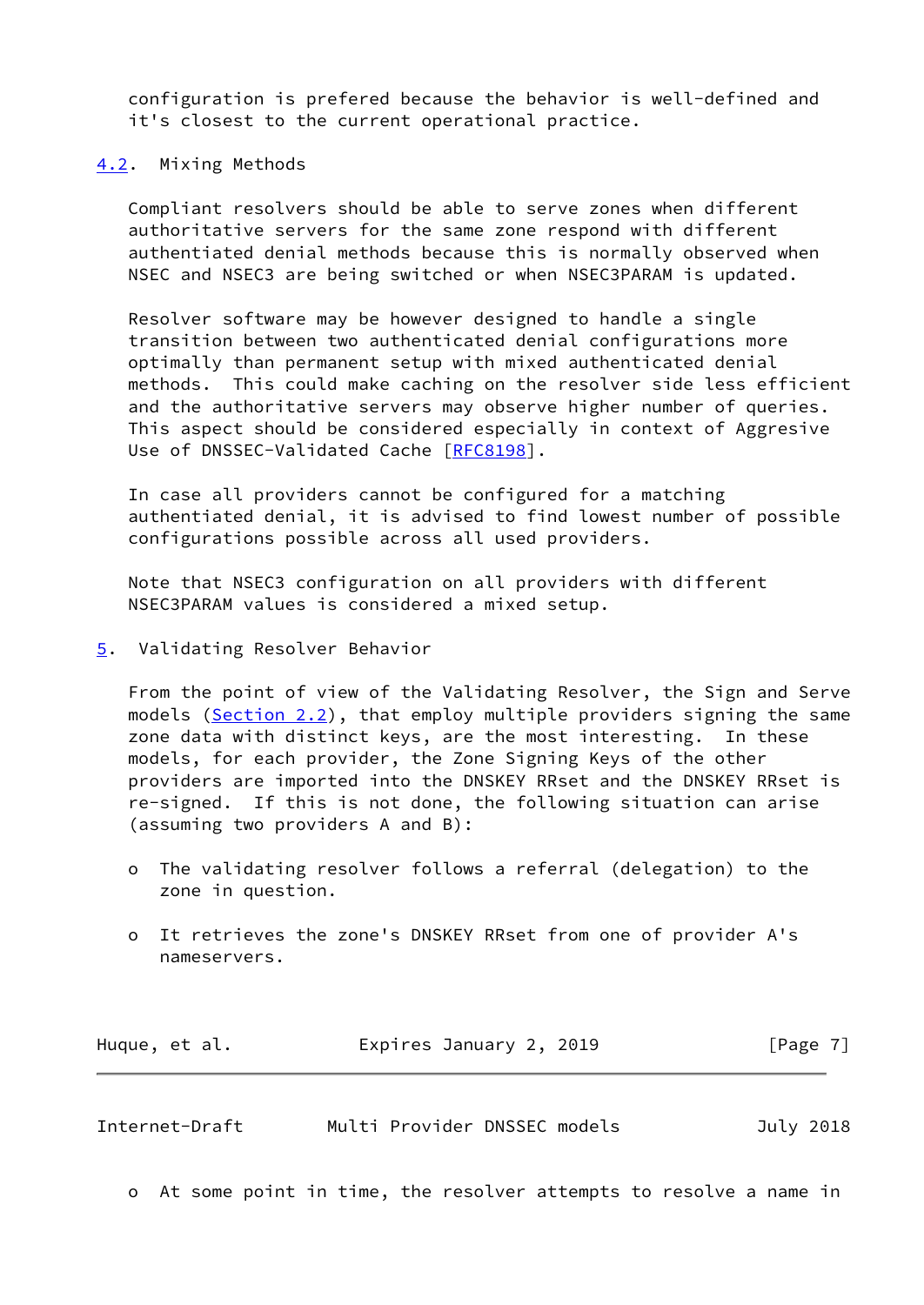configuration is prefered because the behavior is well-defined and it's closest to the current operational practice.

## <span id="page-7-0"></span>[4.2](#page-7-0). Mixing Methods

 Compliant resolvers should be able to serve zones when different authoritative servers for the same zone respond with different authentiated denial methods because this is normally observed when NSEC and NSEC3 are being switched or when NSEC3PARAM is updated.

 Resolver software may be however designed to handle a single transition between two authenticated denial configurations more optimally than permanent setup with mixed authenticated denial methods. This could make caching on the resolver side less efficient and the authoritative servers may observe higher number of queries. This aspect should be considered especially in context of Aggresive Use of DNSSEC-Validated Cache [[RFC8198](https://datatracker.ietf.org/doc/pdf/rfc8198)].

 In case all providers cannot be configured for a matching authentiated denial, it is advised to find lowest number of possible configurations possible across all used providers.

 Note that NSEC3 configuration on all providers with different NSEC3PARAM values is considered a mixed setup.

## <span id="page-7-1"></span>[5](#page-7-1). Validating Resolver Behavior

 From the point of view of the Validating Resolver, the Sign and Serve models [\(Section 2.2](#page-3-0)), that employ multiple providers signing the same zone data with distinct keys, are the most interesting. In these models, for each provider, the Zone Signing Keys of the other providers are imported into the DNSKEY RRset and the DNSKEY RRset is re-signed. If this is not done, the following situation can arise (assuming two providers A and B):

- o The validating resolver follows a referral (delegation) to the zone in question.
- o It retrieves the zone's DNSKEY RRset from one of provider A's nameservers.

| Expires January 2, 2019<br>Huque, et al. | [Page 7] |
|------------------------------------------|----------|
|------------------------------------------|----------|

<span id="page-7-2"></span>Internet-Draft Multi Provider DNSSEC models July 2018

o At some point in time, the resolver attempts to resolve a name in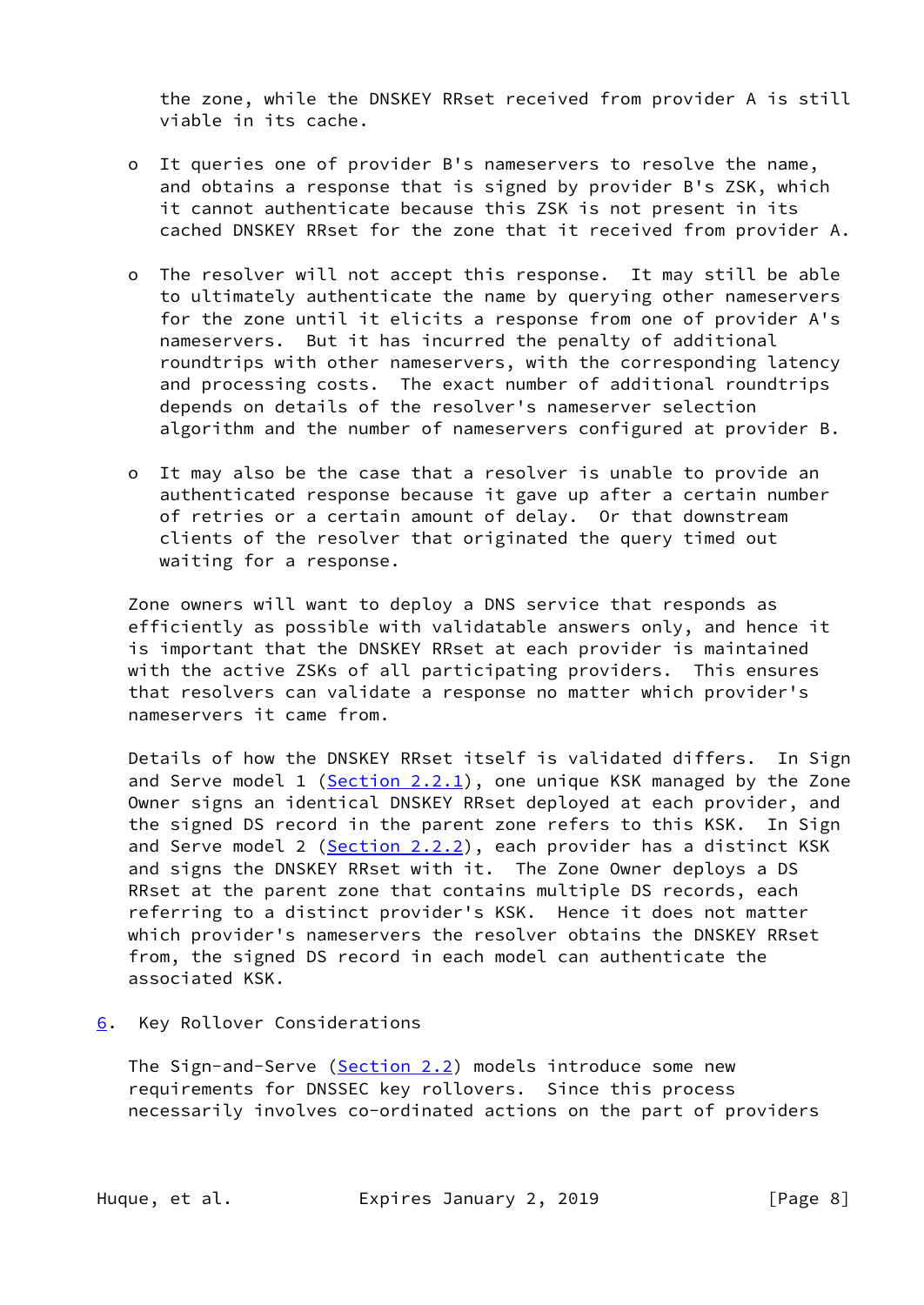the zone, while the DNSKEY RRset received from provider A is still viable in its cache.

- o It queries one of provider B's nameservers to resolve the name, and obtains a response that is signed by provider B's ZSK, which it cannot authenticate because this ZSK is not present in its cached DNSKEY RRset for the zone that it received from provider A.
- o The resolver will not accept this response. It may still be able to ultimately authenticate the name by querying other nameservers for the zone until it elicits a response from one of provider A's nameservers. But it has incurred the penalty of additional roundtrips with other nameservers, with the corresponding latency and processing costs. The exact number of additional roundtrips depends on details of the resolver's nameserver selection algorithm and the number of nameservers configured at provider B.
- o It may also be the case that a resolver is unable to provide an authenticated response because it gave up after a certain number of retries or a certain amount of delay. Or that downstream clients of the resolver that originated the query timed out waiting for a response.

 Zone owners will want to deploy a DNS service that responds as efficiently as possible with validatable answers only, and hence it is important that the DNSKEY RRset at each provider is maintained with the active ZSKs of all participating providers. This ensures that resolvers can validate a response no matter which provider's nameservers it came from.

 Details of how the DNSKEY RRset itself is validated differs. In Sign and Serve model 1 ( $Section 2.2.1$ ), one unique KSK managed by the Zone Owner signs an identical DNSKEY RRset deployed at each provider, and the signed DS record in the parent zone refers to this KSK. In Sign and Serve model 2 ([Section 2.2.2\)](#page-4-0), each provider has a distinct KSK and signs the DNSKEY RRset with it. The Zone Owner deploys a DS RRset at the parent zone that contains multiple DS records, each referring to a distinct provider's KSK. Hence it does not matter which provider's nameservers the resolver obtains the DNSKEY RRset from, the signed DS record in each model can authenticate the associated KSK.

<span id="page-8-0"></span>[6](#page-8-0). Key Rollover Considerations

The Sign-and-Serve ([Section 2.2\)](#page-3-0) models introduce some new requirements for DNSSEC key rollovers. Since this process necessarily involves co-ordinated actions on the part of providers

Huque, et al. **Expires January 2, 2019** [Page 8]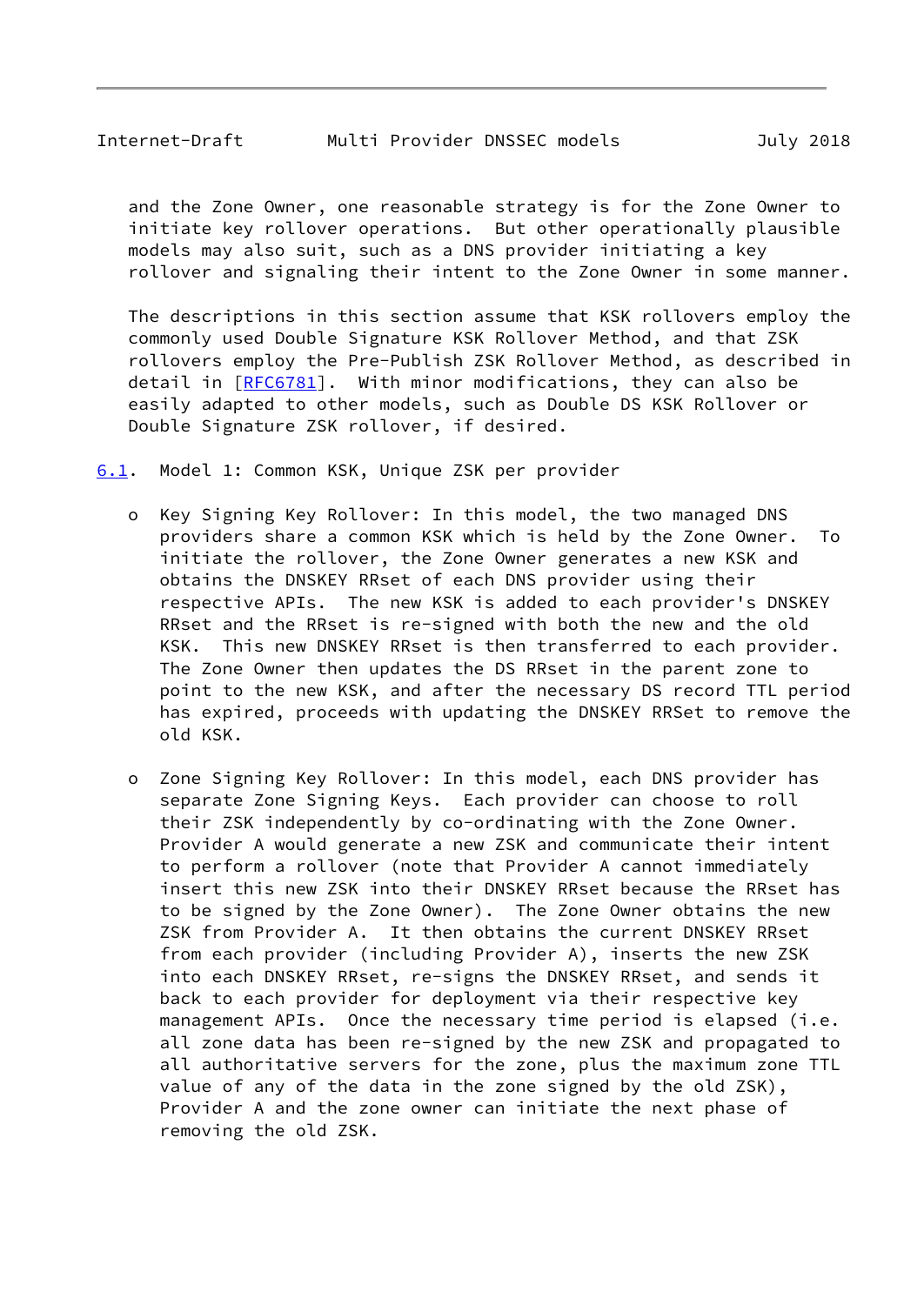<span id="page-9-1"></span> and the Zone Owner, one reasonable strategy is for the Zone Owner to initiate key rollover operations. But other operationally plausible models may also suit, such as a DNS provider initiating a key rollover and signaling their intent to the Zone Owner in some manner.

 The descriptions in this section assume that KSK rollovers employ the commonly used Double Signature KSK Rollover Method, and that ZSK rollovers employ the Pre-Publish ZSK Rollover Method, as described in detail in [[RFC6781](https://datatracker.ietf.org/doc/pdf/rfc6781)]. With minor modifications, they can also be easily adapted to other models, such as Double DS KSK Rollover or Double Signature ZSK rollover, if desired.

<span id="page-9-0"></span>[6.1](#page-9-0). Model 1: Common KSK, Unique ZSK per provider

- o Key Signing Key Rollover: In this model, the two managed DNS providers share a common KSK which is held by the Zone Owner. To initiate the rollover, the Zone Owner generates a new KSK and obtains the DNSKEY RRset of each DNS provider using their respective APIs. The new KSK is added to each provider's DNSKEY RRset and the RRset is re-signed with both the new and the old KSK. This new DNSKEY RRset is then transferred to each provider. The Zone Owner then updates the DS RRset in the parent zone to point to the new KSK, and after the necessary DS record TTL period has expired, proceeds with updating the DNSKEY RRSet to remove the old KSK.
- o Zone Signing Key Rollover: In this model, each DNS provider has separate Zone Signing Keys. Each provider can choose to roll their ZSK independently by co-ordinating with the Zone Owner. Provider A would generate a new ZSK and communicate their intent to perform a rollover (note that Provider A cannot immediately insert this new ZSK into their DNSKEY RRset because the RRset has to be signed by the Zone Owner). The Zone Owner obtains the new ZSK from Provider A. It then obtains the current DNSKEY RRset from each provider (including Provider A), inserts the new ZSK into each DNSKEY RRset, re-signs the DNSKEY RRset, and sends it back to each provider for deployment via their respective key management APIs. Once the necessary time period is elapsed (i.e. all zone data has been re-signed by the new ZSK and propagated to all authoritative servers for the zone, plus the maximum zone TTL value of any of the data in the zone signed by the old ZSK), Provider A and the zone owner can initiate the next phase of removing the old ZSK.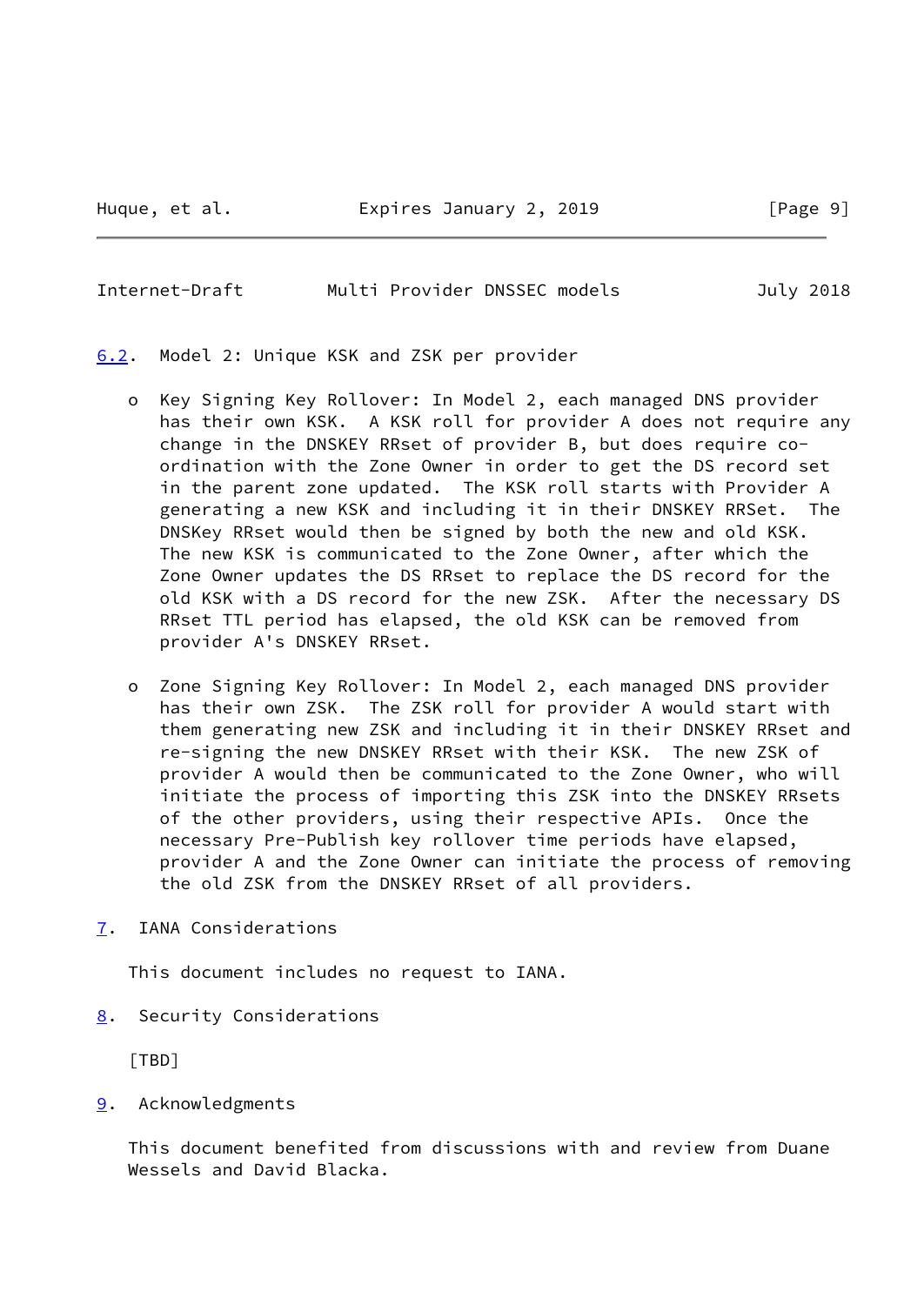<span id="page-10-1"></span>Internet-Draft Multi Provider DNSSEC models July 2018

<span id="page-10-0"></span>[6.2](#page-10-0). Model 2: Unique KSK and ZSK per provider

- o Key Signing Key Rollover: In Model 2, each managed DNS provider has their own KSK. A KSK roll for provider A does not require any change in the DNSKEY RRset of provider B, but does require co ordination with the Zone Owner in order to get the DS record set in the parent zone updated. The KSK roll starts with Provider A generating a new KSK and including it in their DNSKEY RRSet. The DNSKey RRset would then be signed by both the new and old KSK. The new KSK is communicated to the Zone Owner, after which the Zone Owner updates the DS RRset to replace the DS record for the old KSK with a DS record for the new ZSK. After the necessary DS RRset TTL period has elapsed, the old KSK can be removed from provider A's DNSKEY RRset.
- o Zone Signing Key Rollover: In Model 2, each managed DNS provider has their own ZSK. The ZSK roll for provider A would start with them generating new ZSK and including it in their DNSKEY RRset and re-signing the new DNSKEY RRset with their KSK. The new ZSK of provider A would then be communicated to the Zone Owner, who will initiate the process of importing this ZSK into the DNSKEY RRsets of the other providers, using their respective APIs. Once the necessary Pre-Publish key rollover time periods have elapsed, provider A and the Zone Owner can initiate the process of removing the old ZSK from the DNSKEY RRset of all providers.
- <span id="page-10-2"></span>[7](#page-10-2). IANA Considerations

This document includes no request to IANA.

<span id="page-10-3"></span>[8](#page-10-3). Security Considerations

[TBD]

<span id="page-10-4"></span>[9](#page-10-4). Acknowledgments

 This document benefited from discussions with and review from Duane Wessels and David Blacka.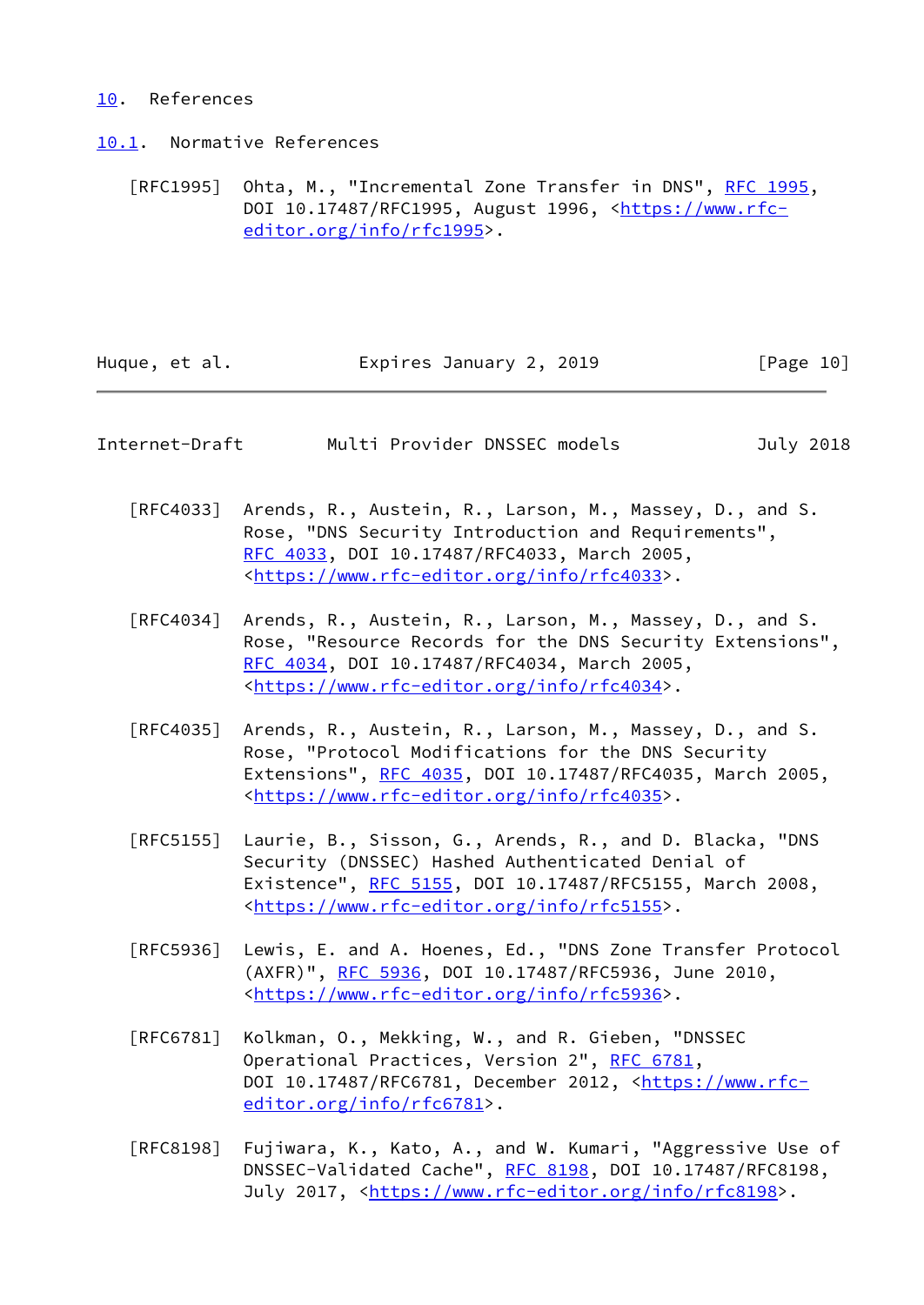## <span id="page-11-0"></span>[10.](#page-11-0) References

<span id="page-11-1"></span>[10.1](#page-11-1). Normative References

[RFC1995] Ohta, M., "Incremental Zone Transfer in DNS", [RFC 1995](https://datatracker.ietf.org/doc/pdf/rfc1995), DOI 10.17487/RFC1995, August 1996, <[https://www.rfc](https://www.rfc-editor.org/info/rfc1995) [editor.org/info/rfc1995](https://www.rfc-editor.org/info/rfc1995)>.

| Huque, et al. | Expires January 2, 2019 | [Page 10] |
|---------------|-------------------------|-----------|
|---------------|-------------------------|-----------|

<span id="page-11-2"></span>

| Internet-Draft |  |  | Multi Provider DNSSEC models | July 2018 |
|----------------|--|--|------------------------------|-----------|
|----------------|--|--|------------------------------|-----------|

- [RFC4033] Arends, R., Austein, R., Larson, M., Massey, D., and S. Rose, "DNS Security Introduction and Requirements", [RFC 4033,](https://datatracker.ietf.org/doc/pdf/rfc4033) DOI 10.17487/RFC4033, March 2005, <[https://www.rfc-editor.org/info/rfc4033>](https://www.rfc-editor.org/info/rfc4033).
- [RFC4034] Arends, R., Austein, R., Larson, M., Massey, D., and S. Rose, "Resource Records for the DNS Security Extensions", [RFC 4034,](https://datatracker.ietf.org/doc/pdf/rfc4034) DOI 10.17487/RFC4034, March 2005, <[https://www.rfc-editor.org/info/rfc4034>](https://www.rfc-editor.org/info/rfc4034).
- [RFC4035] Arends, R., Austein, R., Larson, M., Massey, D., and S. Rose, "Protocol Modifications for the DNS Security Extensions", [RFC 4035](https://datatracker.ietf.org/doc/pdf/rfc4035), DOI 10.17487/RFC4035, March 2005, <[https://www.rfc-editor.org/info/rfc4035>](https://www.rfc-editor.org/info/rfc4035).
- [RFC5155] Laurie, B., Sisson, G., Arends, R., and D. Blacka, "DNS Security (DNSSEC) Hashed Authenticated Denial of Existence", [RFC 5155,](https://datatracker.ietf.org/doc/pdf/rfc5155) DOI 10.17487/RFC5155, March 2008, <[https://www.rfc-editor.org/info/rfc5155>](https://www.rfc-editor.org/info/rfc5155).
- [RFC5936] Lewis, E. and A. Hoenes, Ed., "DNS Zone Transfer Protocol (AXFR)", [RFC 5936,](https://datatracker.ietf.org/doc/pdf/rfc5936) DOI 10.17487/RFC5936, June 2010, <[https://www.rfc-editor.org/info/rfc5936>](https://www.rfc-editor.org/info/rfc5936).
- [RFC6781] Kolkman, O., Mekking, W., and R. Gieben, "DNSSEC Operational Practices, Version 2", [RFC 6781](https://datatracker.ietf.org/doc/pdf/rfc6781), DOI 10.17487/RFC6781, December 2012, [<https://www.rfc](https://www.rfc-editor.org/info/rfc6781) [editor.org/info/rfc6781](https://www.rfc-editor.org/info/rfc6781)>.
- [RFC8198] Fujiwara, K., Kato, A., and W. Kumari, "Aggressive Use of DNSSEC-Validated Cache", [RFC 8198,](https://datatracker.ietf.org/doc/pdf/rfc8198) DOI 10.17487/RFC8198, July 2017, <<https://www.rfc-editor.org/info/rfc8198>>.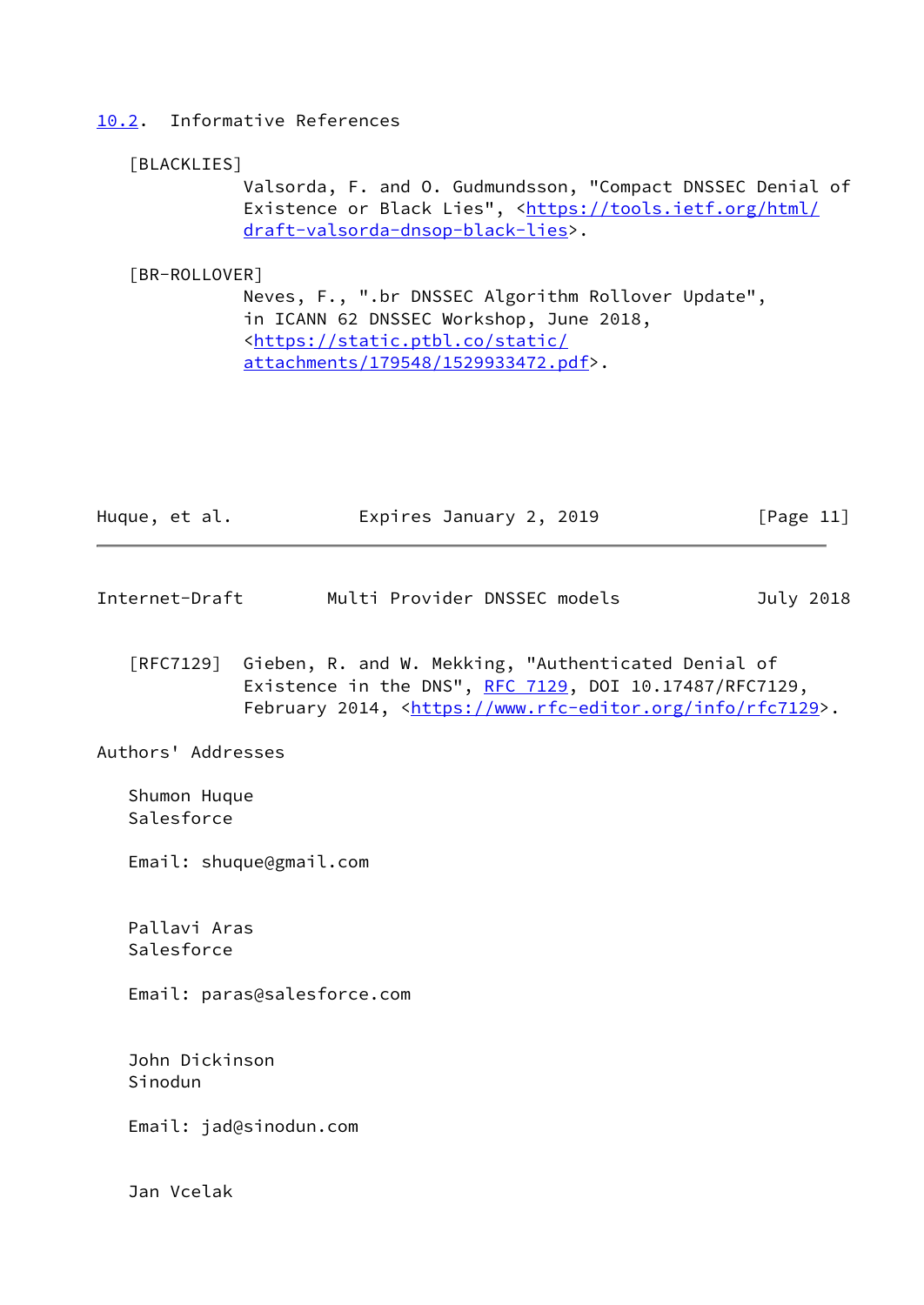## <span id="page-12-0"></span>[10.2](#page-12-0). Informative References

#### <span id="page-12-3"></span>[BLACKLIES]

 Valsorda, F. and O. Gudmundsson, "Compact DNSSEC Denial of Existence or Black Lies", [<https://tools.ietf.org/html/](https://tools.ietf.org/html/draft-valsorda-dnsop-black-lies) [draft-valsorda-dnsop-black-lies](https://tools.ietf.org/html/draft-valsorda-dnsop-black-lies)>.

## <span id="page-12-2"></span>[BR-ROLLOVER]

 Neves, F., ".br DNSSEC Algorithm Rollover Update", in ICANN 62 DNSSEC Workshop, June 2018, <[https://static.ptbl.co/static/](https://static.ptbl.co/static/attachments/179548/1529933472.pdf) [attachments/179548/1529933472.pdf>](https://static.ptbl.co/static/attachments/179548/1529933472.pdf).

| Huque, et al. | Expires January 2, 2019 | [Page 11] |
|---------------|-------------------------|-----------|
|               |                         |           |

- <span id="page-12-1"></span>Internet-Draft Multi Provider DNSSEC models July 2018
	- [RFC7129] Gieben, R. and W. Mekking, "Authenticated Denial of Existence in the DNS",  $RFC$  7129, DOI 10.17487/RFC7129, February 2014, <<https://www.rfc-editor.org/info/rfc7129>>.

Authors' Addresses

 Shumon Huque Salesforce

Email: shuque@gmail.com

 Pallavi Aras Salesforce

Email: paras@salesforce.com

 John Dickinson Sinodun

Email: jad@sinodun.com

Jan Vcelak